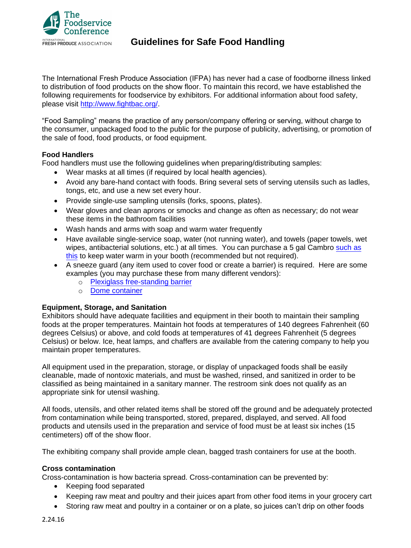

# **Guidelines for Safe Food Handling**

The International Fresh Produce Association (IFPA) has never had a case of foodborne illness linked to distribution of food products on the show floor. To maintain this record, we have established the following requirements for foodservice by exhibitors. For additional information about food safety, please visit [http://www.fightbac.org/.](http://www.fightbac.org/)

"Food Sampling" means the practice of any person/company offering or serving, without charge to the consumer, unpackaged food to the public for the purpose of publicity, advertising, or promotion of the sale of food, food products, or food equipment.

## **Food Handlers**

Food handlers must use the following guidelines when preparing/distributing samples:

- Wear masks at all times (if required by local health agencies).
- Avoid any bare-hand contact with foods. Bring several sets of serving utensils such as ladles, tongs, etc, and use a new set every hour.
- Provide single-use sampling utensils (forks, spoons, plates).
- Wear gloves and clean aprons or smocks and change as often as necessary; do not wear these items in the bathroom facilities
- Wash hands and arms with soap and warm water frequently
- Have available single-service soap, water (not running water), and towels (paper towels, wet wipes, antibacterial solutions, etc.) at all times. You can purchase a 5 gal Cambro [such as](https://www.amazon.com/Carlisle-XT500003-Cateraide-Insulated-Dispenser/dp/B0037XJD2S/ref=sr_1_4?keywords=5+gallon+cambro&qid=1566337851&s=industrial&sr=1-4) [this](https://www.amazon.com/Carlisle-XT500003-Cateraide-Insulated-Dispenser/dp/B0037XJD2S/ref=sr_1_4?keywords=5+gallon+cambro&qid=1566337851&s=industrial&sr=1-4) to keep water warm in your booth (recommended but not required).
- A sneeze guard (any item used to cover food or create a barrier) is required. Here are some examples (you may purchase these from many different vendors):
	- o [Plexiglass free-standing barrier](https://www.webstaurantstore.com/cal-mil-1456-20-acrylic-rectangular-sneeze-guard-with-black-iron-wire-frame/2111456.html?utm_source=Google&utm_medium=cpc&utm_campaign=GoogleShopping&gclid=Cj0KCQjw9ZzzBRCKARIsANwXaeLlFzhRLVE3DP2NcxJpX6Rdww3I7lUu40dlZLn3ieP1KSqxSwSgSfYaAiPyEALw_wcB)
	- o [Dome container](https://gcc02.safelinks.protection.outlook.com/?url=https%3A%2F%2Fwww.hotelrestaurantsupply.com%2FCAL-301-10.html%3Fgclid%3DCj0KCQjw2efrBRD3ARIsAEnt0eiX-HEx5ezxvD0W80vsF0kEcqz7xSno6dKwujtwvWo1xUMWIhgI2t4aAkKOEALw_wcB&data=02%7C01%7CKPfeiffer%40scda.sc.gov%7C29af8c60b25947416e7908d737c5c17d%7Ce9f8d01480d84f27b0d6c3d6c085fcdd%7C1%7C1%7C637039194812399047&sdata=sDB3TOChvIog%2BEW4NIDi%2F2q8UZd%2BddUr2HUFtr4kWmU%3D&reserved=0)

#### **Equipment, Storage, and Sanitation**

Exhibitors should have adequate facilities and equipment in their booth to maintain their sampling foods at the proper temperatures. Maintain hot foods at temperatures of 140 degrees Fahrenheit (60 degrees Celsius) or above, and cold foods at temperatures of 41 degrees Fahrenheit (5 degrees Celsius) or below. Ice, heat lamps, and chaffers are available from the catering company to help you maintain proper temperatures.

All equipment used in the preparation, storage, or display of unpackaged foods shall be easily cleanable, made of nontoxic materials, and must be washed, rinsed, and sanitized in order to be classified as being maintained in a sanitary manner. The restroom sink does not qualify as an appropriate sink for utensil washing.

All foods, utensils, and other related items shall be stored off the ground and be adequately protected from contamination while being transported, stored, prepared, displayed, and served. All food products and utensils used in the preparation and service of food must be at least six inches (15 centimeters) off of the show floor.

The exhibiting company shall provide ample clean, bagged trash containers for use at the booth.

#### **Cross contamination**

Cross-contamination is how bacteria spread. Cross-contamination can be prevented by:

- Keeping food separated
- Keeping raw meat and poultry and their juices apart from other food items in your grocery cart
- Storing raw meat and poultry in a container or on a plate, so juices can't drip on other foods